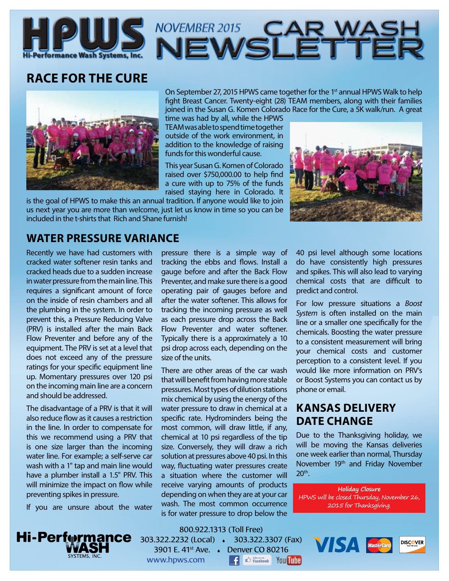

# **RACE FOR THE CURE**



On September 27, 2015 HPWS came together for the 1<sup>st</sup> annual HPWS Walk to help fight Breast Cancer. Twenty-eight (28) TEAM members, along with their families joined in the Susan G. Komen Colorado Race for the Cure, a 5K walk/run. A great

time was had by all, while the HPWS TEAM was able to spend time together outside of the work environment, in addition to the knowledge of raising funds for this wonderful cause.

This year Susan G. Komen of Colorado raised over \$750,000.00 to help find a cure with up to 75% of the funds raised staying here in Colorado. It

is the goal of HPWS to make this an annual tradition. If anyone would like to join us next year you are more than welcome, just let us know in time so you can be included in the t-shirts that Rich and Shane furnish!



### **WATER PRESSURE VARIANCE**

Recently we have had customers with cracked water softener resin tanks and cracked heads due to a sudden increase in water pressure from the main line. This requires a significant amount of force on the inside of resin chambers and all the plumbing in the system. In order to prevent this, a Pressure Reducing Valve (PRV) is installed after the main Back Flow Preventer and before any of the equipment. The PRV is set at a level that does not exceed any of the pressure ratings for your specific equipment line up. Momentary pressures over 120 psi on the incoming main line are a concern and should be addressed.

The disadvantage of a PRV is that it will also reduce flow as it causes a restriction in the line. In order to compensate for this we recommend using a PRV that is one size larger than the incoming water line. For example; a self-serve car wash with a 1" tap and main line would have a plumber install a 1.5" PRV. This will minimize the impact on flow while preventing spikes in pressure.

If you are unsure about the water

pressure there is a simple way of tracking the ebbs and flows. Install a gauge before and after the Back Flow Preventer, and make sure there is a good operating pair of gauges before and after the water softener. This allows for tracking the incoming pressure as well as each pressure drop across the Back Flow Preventer and water softener. Typically there is a approximately a 10 psi drop across each, depending on the size of the units.

There are other areas of the car wash that will benefit from having more stable pressures. Most types of dilution stations mix chemical by using the energy of the water pressure to draw in chemical at a specific rate. Hydrominders being the most common, will draw little, if any, chemical at 10 psi regardless of the tip size. Conversely, they will draw a rich solution at pressures above 40 psi. In this way, fluctuating water pressures create a situation where the customer will receive varying amounts of products depending on when they are at your car wash. The most common occurrence is for water pressure to drop below the

40 psi level although some locations do have consistently high pressures and spikes. This will also lead to varying chemical costs that are difficult to predict and control.

For low pressure situations a *Boost System* is often installed on the main line or a smaller one specifically for the chemicals. Boosting the water pressure to a consistent measurement will bring your chemical costs and customer perception to a consistent level. If you would like more information on PRV's or Boost Systems you can contact us by phone or email.

### **KANSAS DELIVERY DATE CHANGE**

Due to the Thanksgiving holiday, we will be moving the Kansas deliveries one week earlier than normal, Thursday November 19<sup>th</sup> and Friday November 20<sup>th</sup>.

**Holiday Closure** HPWS will be closed Thursday, November 26, 2015 for Thanksgiving.

**DISCOVER** 

**VISA** MasterCard



800.922.1313 (Toll Free) 303.322.2232 (Local) 303.322.3307 (Fax) 3901 E. 41st Ave. Denver CO 80216 www.hpws.com l fl **C** Facebook You Tube